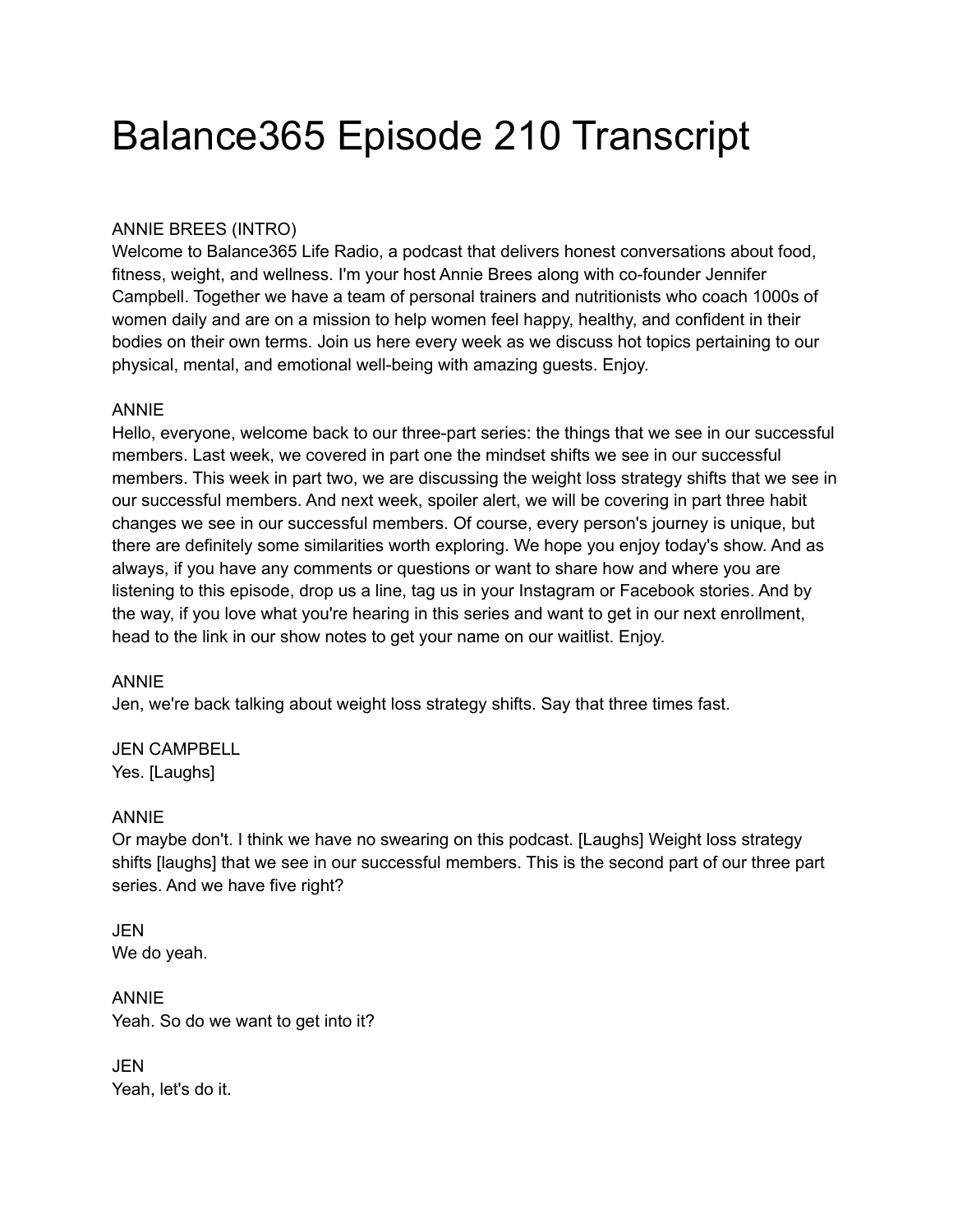# Balance365 Episode 210 Transcript

## ANNIE BREES (INTRO)

Welcome to Balance365 Life Radio, a podcast that delivers honest conversations about food, fitness, weight, and wellness. I'm your host Annie Brees along with co-founder Jennifer Campbell. Together we have a team of personal trainers and nutritionists who coach 1000s of women daily and are on a mission to help women feel happy, healthy, and confident in their bodies on their own terms. Join us here every week as we discuss hot topics pertaining to our physical, mental, and emotional well-being with amazing guests. Enjoy.

## ANNIE

Hello, everyone, welcome back to our three-part series: the things that we see in our successful members. Last week, we covered in part one the mindset shifts we see in our successful members. This week in part two, we are discussing the weight loss strategy shifts that we see in our successful members. And next week, spoiler alert, we will be covering in part three habit changes we see in our successful members. Of course, every person's journey is unique, but there are definitely some similarities worth exploring. We hope you enjoy today's show. And as always, if you have any comments or questions or want to share how and where you are listening to this episode, drop us a line, tag us in your Instagram or Facebook stories. And by the way, if you love what you're hearing in this series and want to get in our next enrollment, head to the link in our show notes to get your name on our waitlist. Enjoy.

### ANNIE

Jen, we're back talking about weight loss strategy shifts. Say that three times fast.

JEN CAMPBELL Yes. [Laughs]

### ANNIE

Or maybe don't. I think we have no swearing on this podcast. [Laughs] Weight loss strategy shifts [laughs] that we see in our successful members. This is the second part of our three part series. And we have five right?

JEN We do yeah.

ANNIE Yeah. So do we want to get into it?

JEN Yeah, let's do it.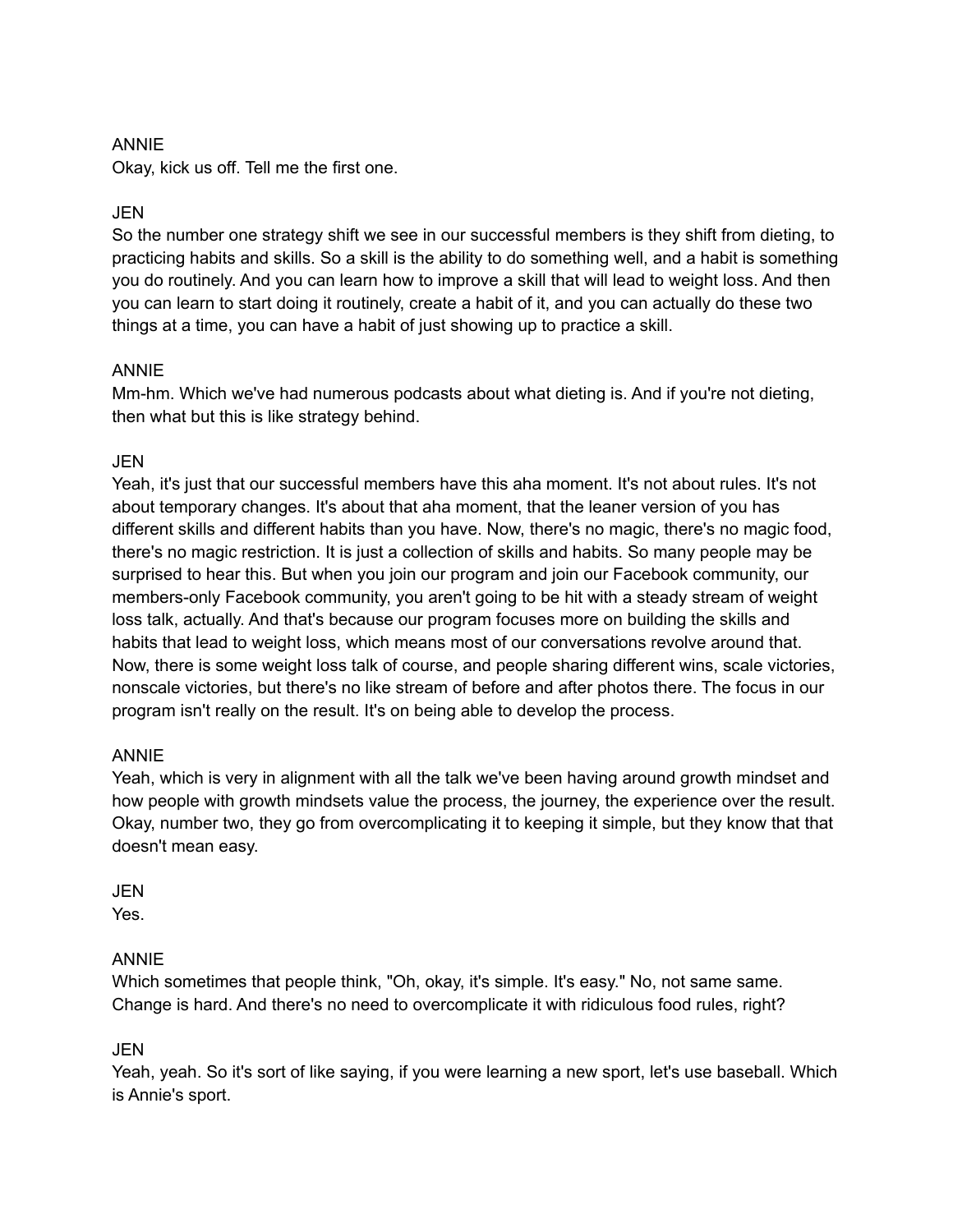## ANNIE

Okay, kick us off. Tell me the first one.

## **JEN**

So the number one strategy shift we see in our successful members is they shift from dieting, to practicing habits and skills. So a skill is the ability to do something well, and a habit is something you do routinely. And you can learn how to improve a skill that will lead to weight loss. And then you can learn to start doing it routinely, create a habit of it, and you can actually do these two things at a time, you can have a habit of just showing up to practice a skill.

## ANNIE

Mm-hm. Which we've had numerous podcasts about what dieting is. And if you're not dieting, then what but this is like strategy behind.

## JEN

Yeah, it's just that our successful members have this aha moment. It's not about rules. It's not about temporary changes. It's about that aha moment, that the leaner version of you has different skills and different habits than you have. Now, there's no magic, there's no magic food, there's no magic restriction. It is just a collection of skills and habits. So many people may be surprised to hear this. But when you join our program and join our Facebook community, our members-only Facebook community, you aren't going to be hit with a steady stream of weight loss talk, actually. And that's because our program focuses more on building the skills and habits that lead to weight loss, which means most of our conversations revolve around that. Now, there is some weight loss talk of course, and people sharing different wins, scale victories, nonscale victories, but there's no like stream of before and after photos there. The focus in our program isn't really on the result. It's on being able to develop the process.

## ANNIE

Yeah, which is very in alignment with all the talk we've been having around growth mindset and how people with growth mindsets value the process, the journey, the experience over the result. Okay, number two, they go from overcomplicating it to keeping it simple, but they know that that doesn't mean easy.

# JEN

Yes.

## ANNIE

Which sometimes that people think, "Oh, okay, it's simple. It's easy." No, not same same. Change is hard. And there's no need to overcomplicate it with ridiculous food rules, right?

## JEN

Yeah, yeah. So it's sort of like saying, if you were learning a new sport, let's use baseball. Which is Annie's sport.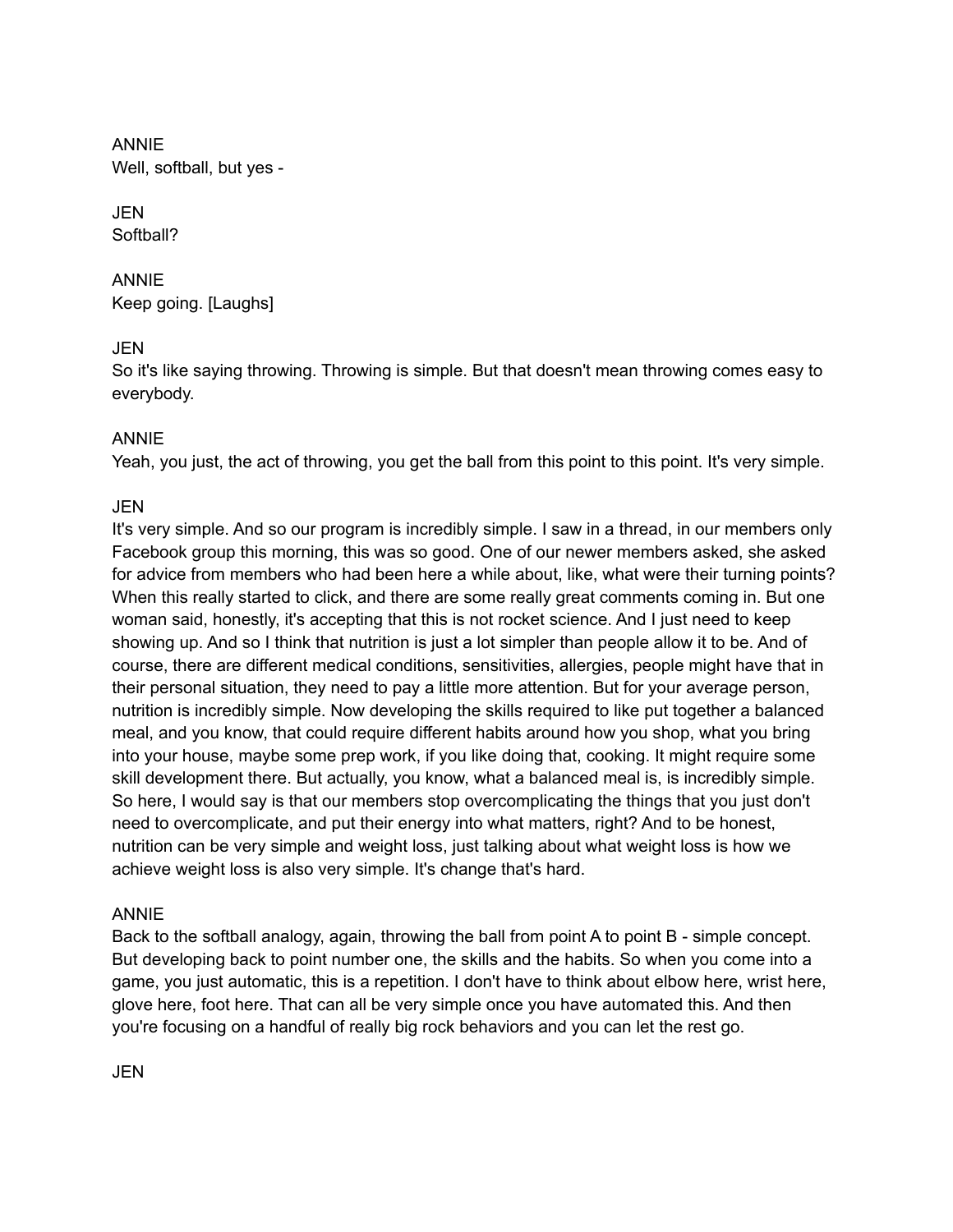ANNIE Well, softball, but yes -

## **JEN** Softball?

## ANNIE Keep going. [Laughs]

## JEN

So it's like saying throwing. Throwing is simple. But that doesn't mean throwing comes easy to everybody.

## ANNIE

Yeah, you just, the act of throwing, you get the ball from this point to this point. It's very simple.

# **JEN**

It's very simple. And so our program is incredibly simple. I saw in a thread, in our members only Facebook group this morning, this was so good. One of our newer members asked, she asked for advice from members who had been here a while about, like, what were their turning points? When this really started to click, and there are some really great comments coming in. But one woman said, honestly, it's accepting that this is not rocket science. And I just need to keep showing up. And so I think that nutrition is just a lot simpler than people allow it to be. And of course, there are different medical conditions, sensitivities, allergies, people might have that in their personal situation, they need to pay a little more attention. But for your average person, nutrition is incredibly simple. Now developing the skills required to like put together a balanced meal, and you know, that could require different habits around how you shop, what you bring into your house, maybe some prep work, if you like doing that, cooking. It might require some skill development there. But actually, you know, what a balanced meal is, is incredibly simple. So here, I would say is that our members stop overcomplicating the things that you just don't need to overcomplicate, and put their energy into what matters, right? And to be honest, nutrition can be very simple and weight loss, just talking about what weight loss is how we achieve weight loss is also very simple. It's change that's hard.

## ANNIE

Back to the softball analogy, again, throwing the ball from point A to point B - simple concept. But developing back to point number one, the skills and the habits. So when you come into a game, you just automatic, this is a repetition. I don't have to think about elbow here, wrist here, glove here, foot here. That can all be very simple once you have automated this. And then you're focusing on a handful of really big rock behaviors and you can let the rest go.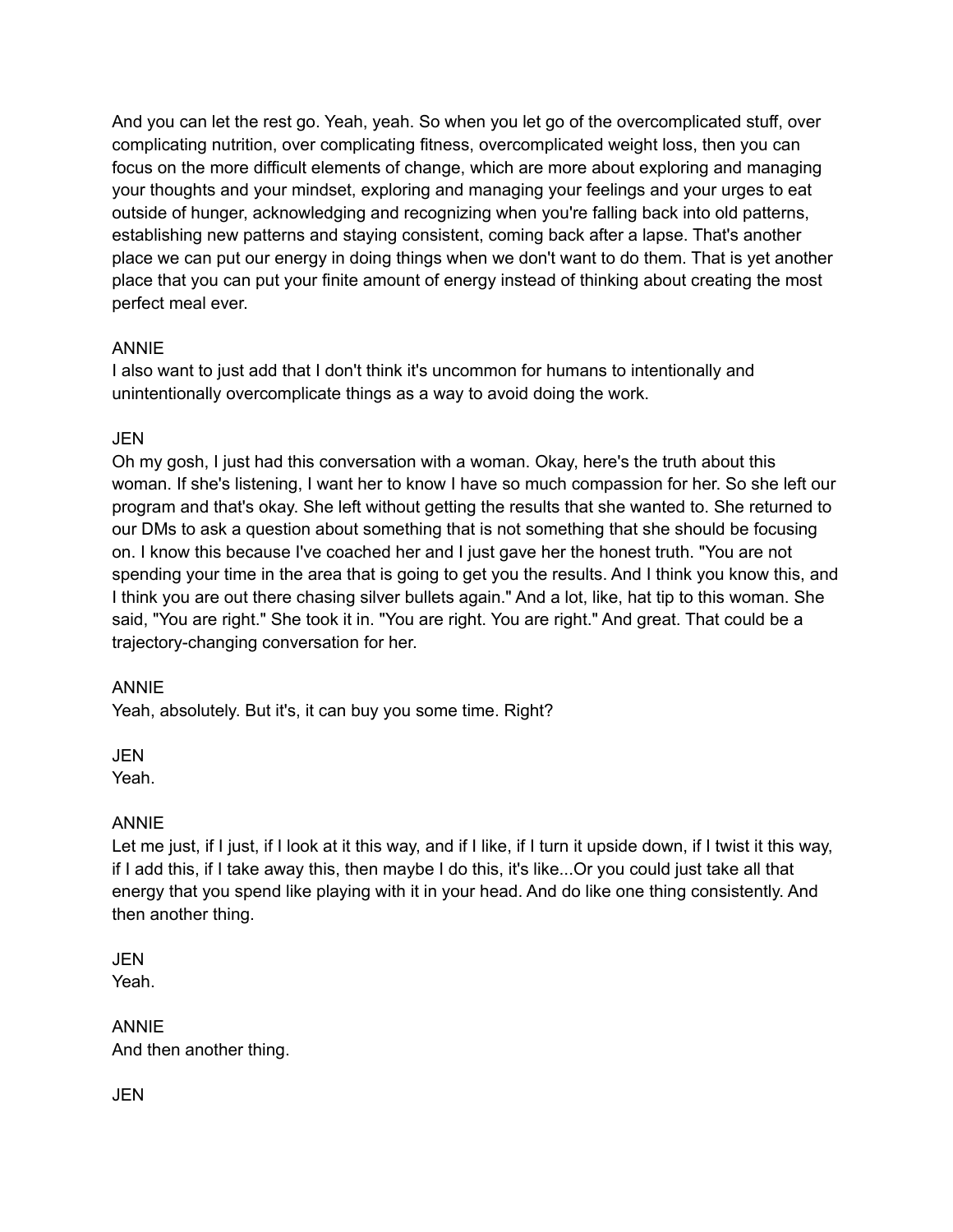And you can let the rest go. Yeah, yeah. So when you let go of the overcomplicated stuff, over complicating nutrition, over complicating fitness, overcomplicated weight loss, then you can focus on the more difficult elements of change, which are more about exploring and managing your thoughts and your mindset, exploring and managing your feelings and your urges to eat outside of hunger, acknowledging and recognizing when you're falling back into old patterns, establishing new patterns and staying consistent, coming back after a lapse. That's another place we can put our energy in doing things when we don't want to do them. That is yet another place that you can put your finite amount of energy instead of thinking about creating the most perfect meal ever.

## ANNIE

I also want to just add that I don't think it's uncommon for humans to intentionally and unintentionally overcomplicate things as a way to avoid doing the work.

# JEN

Oh my gosh, I just had this conversation with a woman. Okay, here's the truth about this woman. If she's listening, I want her to know I have so much compassion for her. So she left our program and that's okay. She left without getting the results that she wanted to. She returned to our DMs to ask a question about something that is not something that she should be focusing on. I know this because I've coached her and I just gave her the honest truth. "You are not spending your time in the area that is going to get you the results. And I think you know this, and I think you are out there chasing silver bullets again." And a lot, like, hat tip to this woman. She said, "You are right." She took it in. "You are right. You are right." And great. That could be a trajectory-changing conversation for her.

# ANNIE

Yeah, absolutely. But it's, it can buy you some time. Right?

JEN

Yeah.

# ANNIE

Let me just, if I just, if I look at it this way, and if I like, if I turn it upside down, if I twist it this way, if I add this, if I take away this, then maybe I do this, it's like...Or you could just take all that energy that you spend like playing with it in your head. And do like one thing consistently. And then another thing.

**JEN** Yeah.

ANNIE And then another thing.

JEN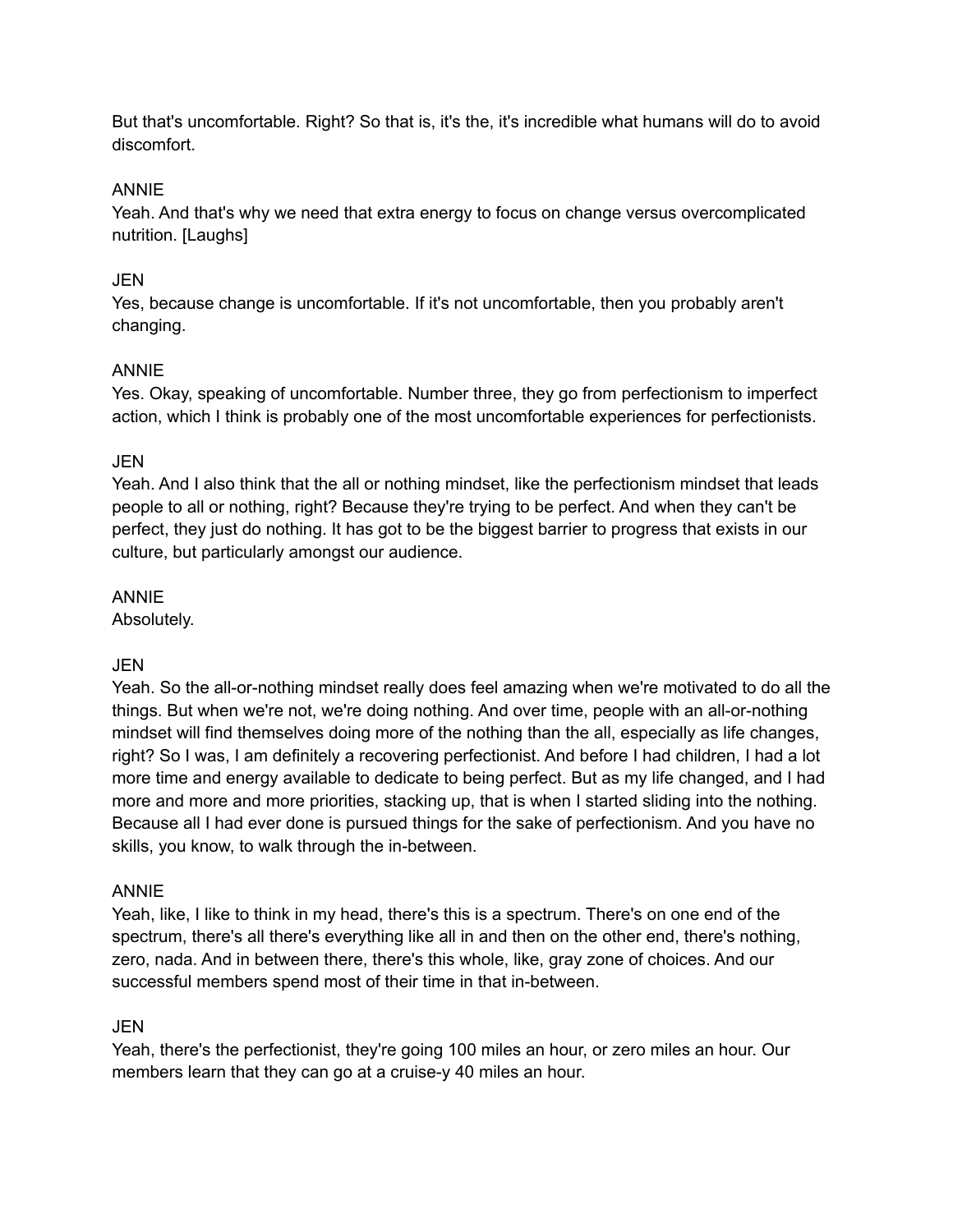But that's uncomfortable. Right? So that is, it's the, it's incredible what humans will do to avoid discomfort.

## ANNIE

Yeah. And that's why we need that extra energy to focus on change versus overcomplicated nutrition. [Laughs]

## JEN

Yes, because change is uncomfortable. If it's not uncomfortable, then you probably aren't changing.

## ANNIE

Yes. Okay, speaking of uncomfortable. Number three, they go from perfectionism to imperfect action, which I think is probably one of the most uncomfortable experiences for perfectionists.

# JEN

Yeah. And I also think that the all or nothing mindset, like the perfectionism mindset that leads people to all or nothing, right? Because they're trying to be perfect. And when they can't be perfect, they just do nothing. It has got to be the biggest barrier to progress that exists in our culture, but particularly amongst our audience.

## ANNIE

Absolutely.

# JEN

Yeah. So the all-or-nothing mindset really does feel amazing when we're motivated to do all the things. But when we're not, we're doing nothing. And over time, people with an all-or-nothing mindset will find themselves doing more of the nothing than the all, especially as life changes, right? So I was, I am definitely a recovering perfectionist. And before I had children, I had a lot more time and energy available to dedicate to being perfect. But as my life changed, and I had more and more and more priorities, stacking up, that is when I started sliding into the nothing. Because all I had ever done is pursued things for the sake of perfectionism. And you have no skills, you know, to walk through the in-between.

## ANNIE

Yeah, like, I like to think in my head, there's this is a spectrum. There's on one end of the spectrum, there's all there's everything like all in and then on the other end, there's nothing, zero, nada. And in between there, there's this whole, like, gray zone of choices. And our successful members spend most of their time in that in-between.

## JEN

Yeah, there's the perfectionist, they're going 100 miles an hour, or zero miles an hour. Our members learn that they can go at a cruise-y 40 miles an hour.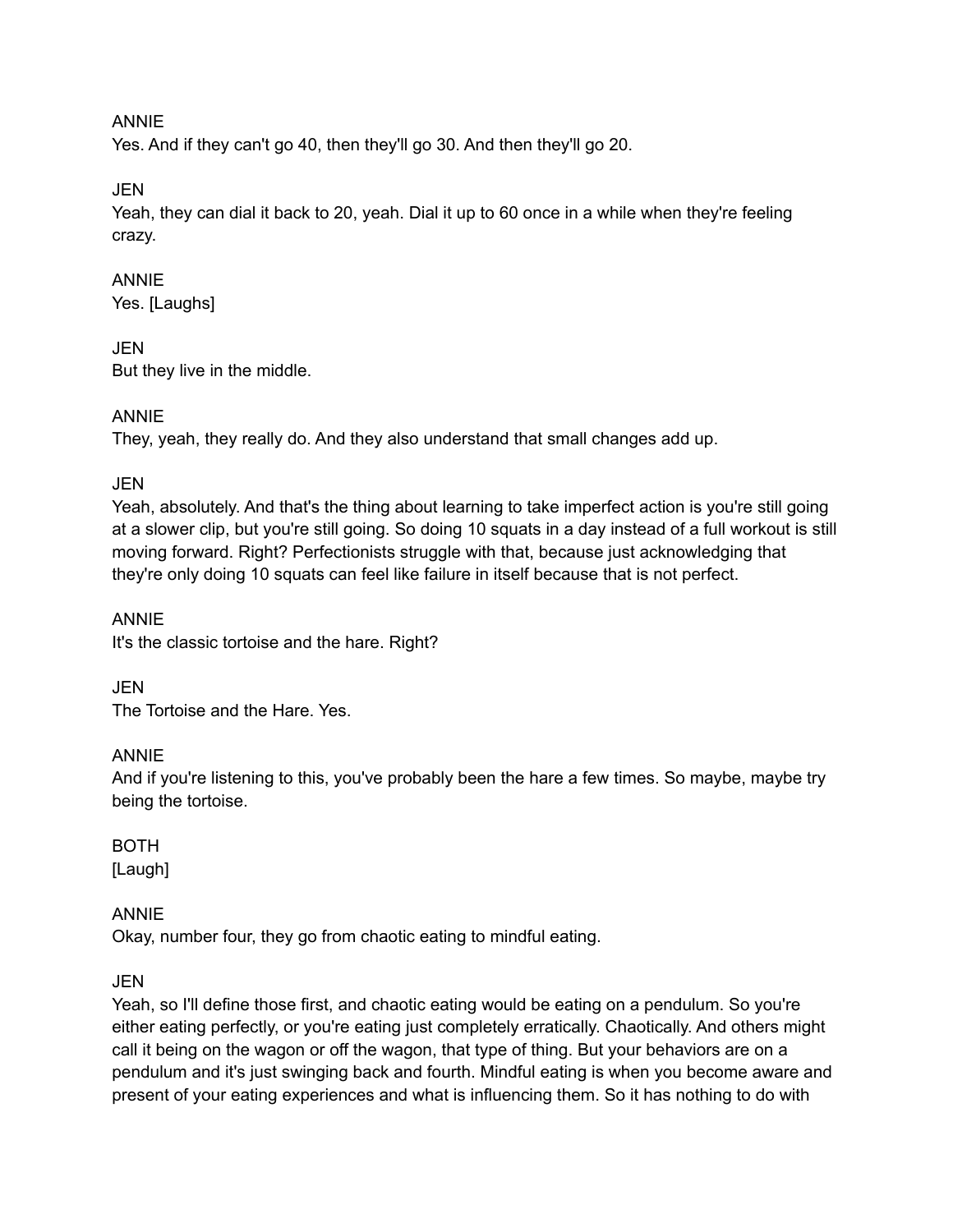## ANNIE

Yes. And if they can't go 40, then they'll go 30. And then they'll go 20.

JEN

Yeah, they can dial it back to 20, yeah. Dial it up to 60 once in a while when they're feeling crazy.

## ANNIE

Yes. [Laughs]

## JEN

But they live in the middle.

# ANNIE

They, yeah, they really do. And they also understand that small changes add up.

## JEN

Yeah, absolutely. And that's the thing about learning to take imperfect action is you're still going at a slower clip, but you're still going. So doing 10 squats in a day instead of a full workout is still moving forward. Right? Perfectionists struggle with that, because just acknowledging that they're only doing 10 squats can feel like failure in itself because that is not perfect.

ANNIE It's the classic tortoise and the hare. Right?

JEN The Tortoise and the Hare. Yes.

# ANNIE

And if you're listening to this, you've probably been the hare a few times. So maybe, maybe try being the tortoise.

# BOTH

[Laugh]

# ANNIE

Okay, number four, they go from chaotic eating to mindful eating.

# JEN

Yeah, so I'll define those first, and chaotic eating would be eating on a pendulum. So you're either eating perfectly, or you're eating just completely erratically. Chaotically. And others might call it being on the wagon or off the wagon, that type of thing. But your behaviors are on a pendulum and it's just swinging back and fourth. Mindful eating is when you become aware and present of your eating experiences and what is influencing them. So it has nothing to do with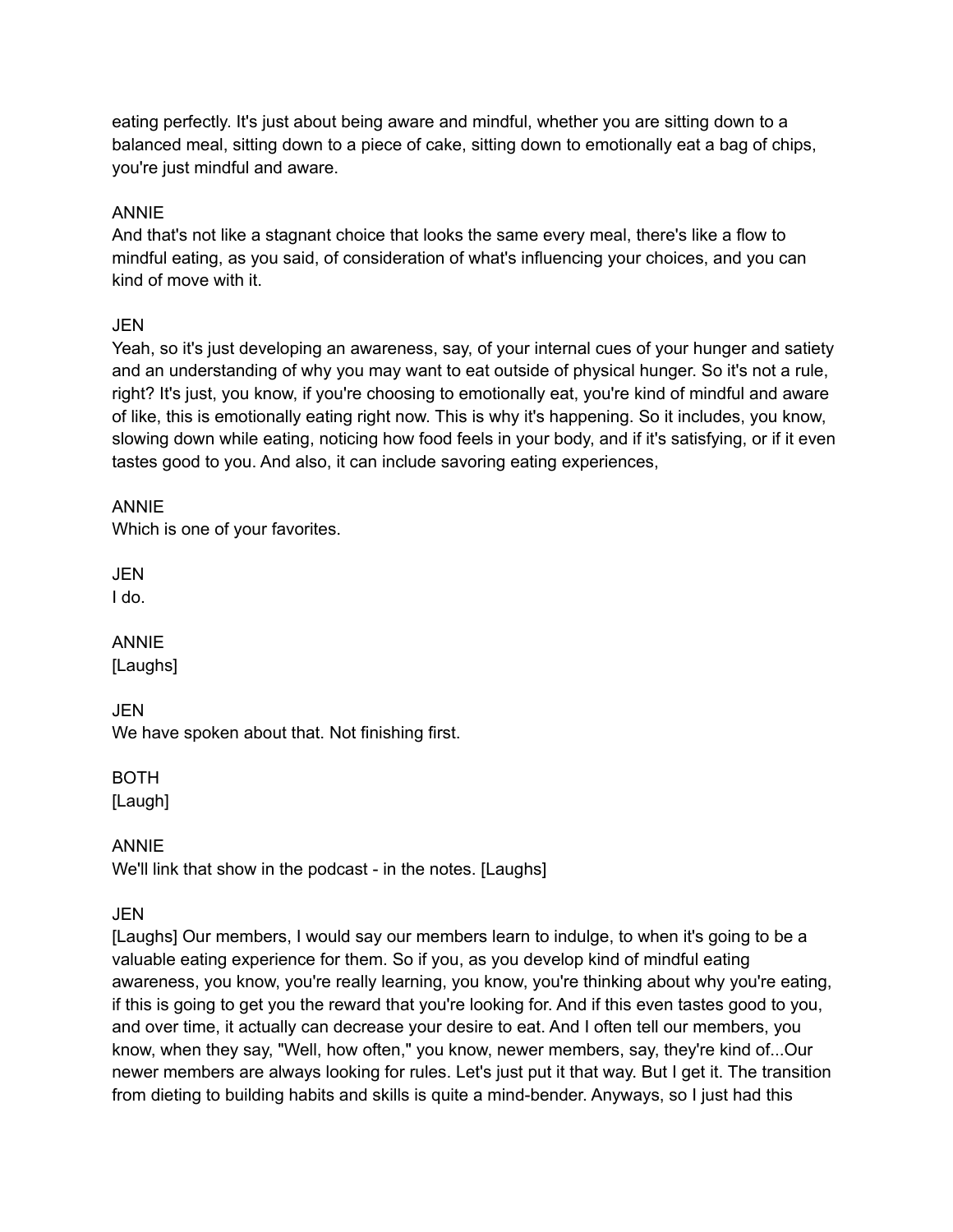eating perfectly. It's just about being aware and mindful, whether you are sitting down to a balanced meal, sitting down to a piece of cake, sitting down to emotionally eat a bag of chips, you're just mindful and aware.

## ANNIE

And that's not like a stagnant choice that looks the same every meal, there's like a flow to mindful eating, as you said, of consideration of what's influencing your choices, and you can kind of move with it.

# JEN

Yeah, so it's just developing an awareness, say, of your internal cues of your hunger and satiety and an understanding of why you may want to eat outside of physical hunger. So it's not a rule, right? It's just, you know, if you're choosing to emotionally eat, you're kind of mindful and aware of like, this is emotionally eating right now. This is why it's happening. So it includes, you know, slowing down while eating, noticing how food feels in your body, and if it's satisfying, or if it even tastes good to you. And also, it can include savoring eating experiences,

## ANNIE

Which is one of your favorites.

JEN I do.

ANNIE [Laughs]

JEN

We have spoken about that. Not finishing first.

BOTH

[Laugh]

ANNIE

We'll link that show in the podcast - in the notes. [Laughs]

JEN

[Laughs] Our members, I would say our members learn to indulge, to when it's going to be a valuable eating experience for them. So if you, as you develop kind of mindful eating awareness, you know, you're really learning, you know, you're thinking about why you're eating, if this is going to get you the reward that you're looking for. And if this even tastes good to you, and over time, it actually can decrease your desire to eat. And I often tell our members, you know, when they say, "Well, how often," you know, newer members, say, they're kind of...Our newer members are always looking for rules. Let's just put it that way. But I get it. The transition from dieting to building habits and skills is quite a mind-bender. Anyways, so I just had this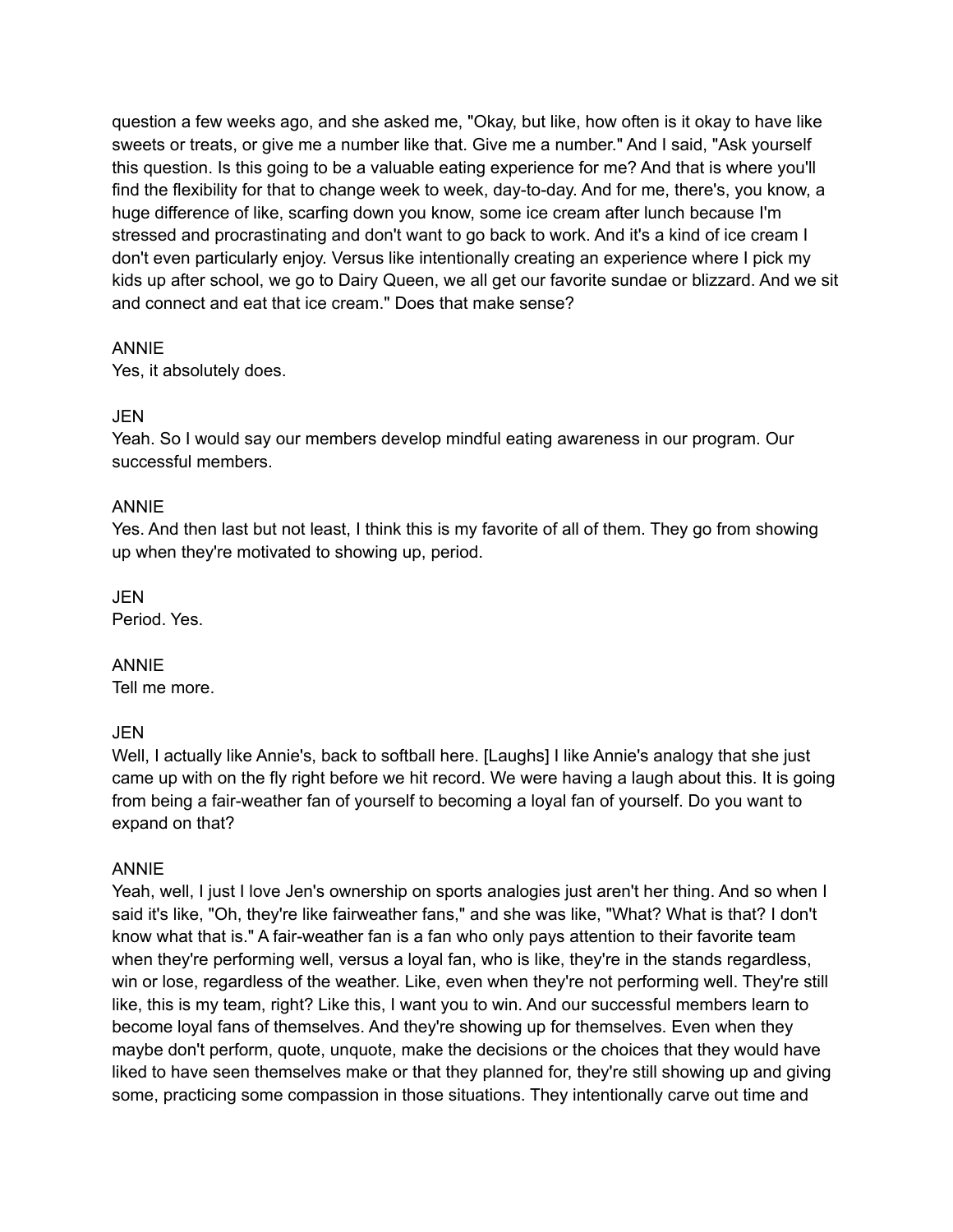question a few weeks ago, and she asked me, "Okay, but like, how often is it okay to have like sweets or treats, or give me a number like that. Give me a number." And I said, "Ask yourself this question. Is this going to be a valuable eating experience for me? And that is where you'll find the flexibility for that to change week to week, day-to-day. And for me, there's, you know, a huge difference of like, scarfing down you know, some ice cream after lunch because I'm stressed and procrastinating and don't want to go back to work. And it's a kind of ice cream I don't even particularly enjoy. Versus like intentionally creating an experience where I pick my kids up after school, we go to Dairy Queen, we all get our favorite sundae or blizzard. And we sit and connect and eat that ice cream." Does that make sense?

## ANNIE

Yes, it absolutely does.

## JEN

Yeah. So I would say our members develop mindful eating awareness in our program. Our successful members.

## ANNIE

Yes. And then last but not least, I think this is my favorite of all of them. They go from showing up when they're motivated to showing up, period.

## JEN

Period. Yes.

## ANNIE

Tell me more.

# JEN

Well, I actually like Annie's, back to softball here. [Laughs] I like Annie's analogy that she just came up with on the fly right before we hit record. We were having a laugh about this. It is going from being a fair-weather fan of yourself to becoming a loyal fan of yourself. Do you want to expand on that?

## ANNIE

Yeah, well, I just I love Jen's ownership on sports analogies just aren't her thing. And so when I said it's like, "Oh, they're like fairweather fans," and she was like, "What? What is that? I don't know what that is." A fair-weather fan is a fan who only pays attention to their favorite team when they're performing well, versus a loyal fan, who is like, they're in the stands regardless, win or lose, regardless of the weather. Like, even when they're not performing well. They're still like, this is my team, right? Like this, I want you to win. And our successful members learn to become loyal fans of themselves. And they're showing up for themselves. Even when they maybe don't perform, quote, unquote, make the decisions or the choices that they would have liked to have seen themselves make or that they planned for, they're still showing up and giving some, practicing some compassion in those situations. They intentionally carve out time and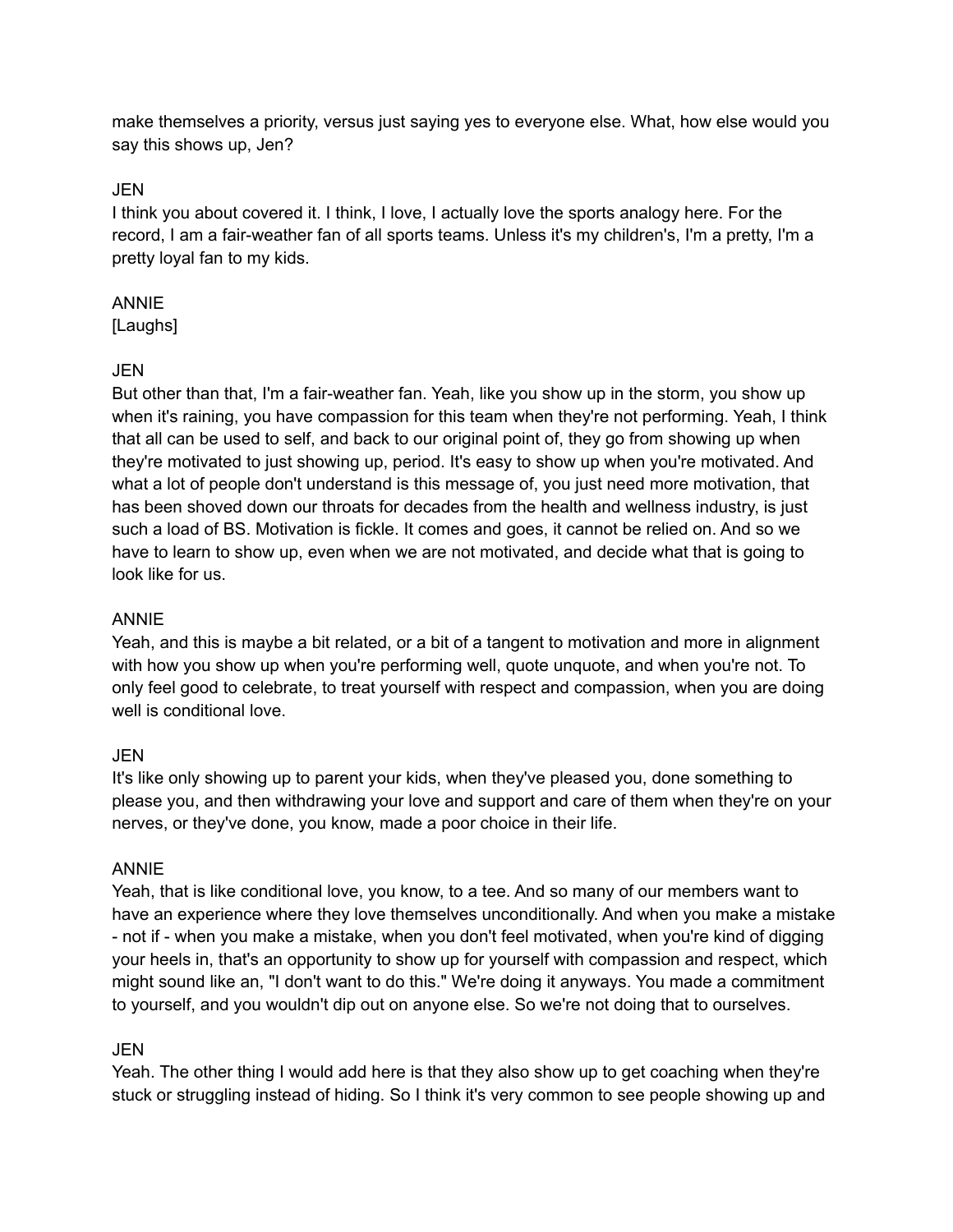make themselves a priority, versus just saying yes to everyone else. What, how else would you say this shows up, Jen?

## JEN

I think you about covered it. I think, I love, I actually love the sports analogy here. For the record, I am a fair-weather fan of all sports teams. Unless it's my children's, I'm a pretty, I'm a pretty loyal fan to my kids.

## ANNIE

[Laughs]

# JEN

But other than that, I'm a fair-weather fan. Yeah, like you show up in the storm, you show up when it's raining, you have compassion for this team when they're not performing. Yeah, I think that all can be used to self, and back to our original point of, they go from showing up when they're motivated to just showing up, period. It's easy to show up when you're motivated. And what a lot of people don't understand is this message of, you just need more motivation, that has been shoved down our throats for decades from the health and wellness industry, is just such a load of BS. Motivation is fickle. It comes and goes, it cannot be relied on. And so we have to learn to show up, even when we are not motivated, and decide what that is going to look like for us.

# ANNIE

Yeah, and this is maybe a bit related, or a bit of a tangent to motivation and more in alignment with how you show up when you're performing well, quote unquote, and when you're not. To only feel good to celebrate, to treat yourself with respect and compassion, when you are doing well is conditional love.

# JEN

It's like only showing up to parent your kids, when they've pleased you, done something to please you, and then withdrawing your love and support and care of them when they're on your nerves, or they've done, you know, made a poor choice in their life.

# ANNIE

Yeah, that is like conditional love, you know, to a tee. And so many of our members want to have an experience where they love themselves unconditionally. And when you make a mistake - not if - when you make a mistake, when you don't feel motivated, when you're kind of digging your heels in, that's an opportunity to show up for yourself with compassion and respect, which might sound like an, "I don't want to do this." We're doing it anyways. You made a commitment to yourself, and you wouldn't dip out on anyone else. So we're not doing that to ourselves.

# JEN

Yeah. The other thing I would add here is that they also show up to get coaching when they're stuck or struggling instead of hiding. So I think it's very common to see people showing up and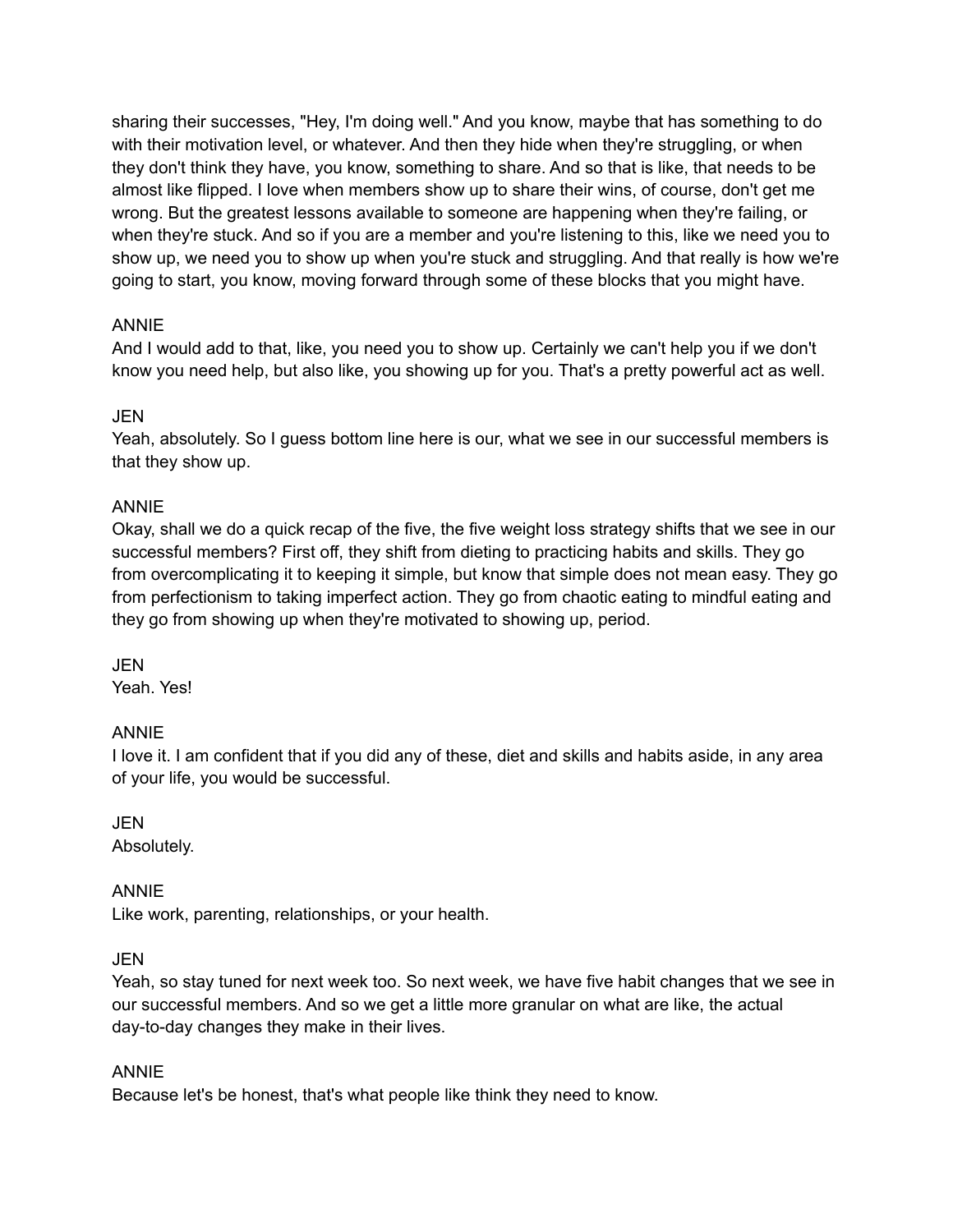sharing their successes, "Hey, I'm doing well." And you know, maybe that has something to do with their motivation level, or whatever. And then they hide when they're struggling, or when they don't think they have, you know, something to share. And so that is like, that needs to be almost like flipped. I love when members show up to share their wins, of course, don't get me wrong. But the greatest lessons available to someone are happening when they're failing, or when they're stuck. And so if you are a member and you're listening to this, like we need you to show up, we need you to show up when you're stuck and struggling. And that really is how we're going to start, you know, moving forward through some of these blocks that you might have.

## ANNIE

And I would add to that, like, you need you to show up. Certainly we can't help you if we don't know you need help, but also like, you showing up for you. That's a pretty powerful act as well.

## JEN

Yeah, absolutely. So I guess bottom line here is our, what we see in our successful members is that they show up.

## ANNIE

Okay, shall we do a quick recap of the five, the five weight loss strategy shifts that we see in our successful members? First off, they shift from dieting to practicing habits and skills. They go from overcomplicating it to keeping it simple, but know that simple does not mean easy. They go from perfectionism to taking imperfect action. They go from chaotic eating to mindful eating and they go from showing up when they're motivated to showing up, period.

## JEN

Yeah. Yes!

# ANNIE

I love it. I am confident that if you did any of these, diet and skills and habits aside, in any area of your life, you would be successful.

# JEN

Absolutely.

## ANNIE

Like work, parenting, relationships, or your health.

## JEN

Yeah, so stay tuned for next week too. So next week, we have five habit changes that we see in our successful members. And so we get a little more granular on what are like, the actual day-to-day changes they make in their lives.

## ANNIE

Because let's be honest, that's what people like think they need to know.